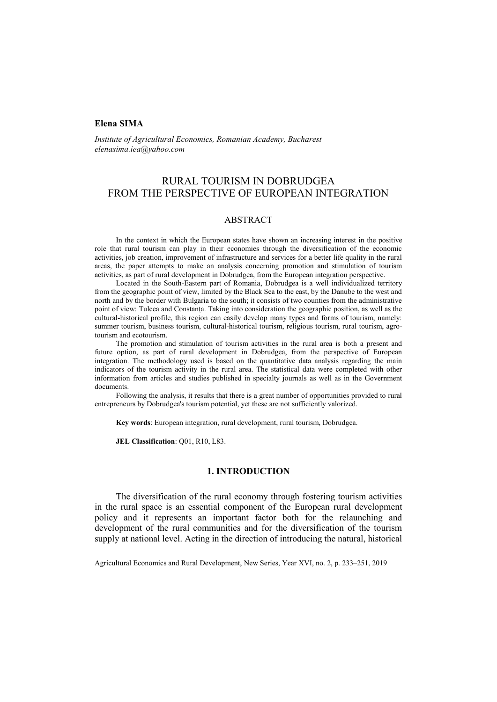## **Elena SIMA**

*Institute of Agricultural Economics, Romanian Academy, Bucharest elenasima.iea@yahoo.com*

# RURAL TOURISM IN DOBRUDGEA FROM THE PERSPECTIVE OF EUROPEAN INTEGRATION

### ABSTRACT

In the context in which the European states have shown an increasing interest in the positive role that rural tourism can play in their economies through the diversification of the economic activities, job creation, improvement of infrastructure and services for a better life quality in the rural areas, the paper attempts to make an analysis concerning promotion and stimulation of tourism activities, as part of rural development in Dobrudgea, from the European integration perspective.

Located in the South-Eastern part of Romania, Dobrudgea is a well individualized territory from the geographic point of view, limited by the Black Sea to the east, by the Danube to the west and north and by the border with Bulgaria to the south; it consists of two counties from the administrative point of view: Tulcea and Constanța. Taking into consideration the geographic position, as well as the cultural-historical profile, this region can easily develop many types and forms of tourism, namely: summer tourism, business tourism, cultural-historical tourism, religious tourism, rural tourism, agrotourism and ecotourism.

The promotion and stimulation of tourism activities in the rural area is both a present and future option, as part of rural development in Dobrudgea, from the perspective of European integration. The methodology used is based on the quantitative data analysis regarding the main indicators of the tourism activity in the rural area. The statistical data were completed with other information from articles and studies published in specialty journals as well as in the Government documents.

Following the analysis, it results that there is a great number of opportunities provided to rural entrepreneurs by Dobrudgea's tourism potential, yet these are not sufficiently valorized.

**Key words**: European integration, rural development, rural tourism, Dobrudgea.

**JEL Classification**: Q01, R10, L83.

### **1. INTRODUCTION**

The diversification of the rural economy through fostering tourism activities in the rural space is an essential component of the European rural development policy and it represents an important factor both for the relaunching and development of the rural communities and for the diversification of the tourism supply at national level. Acting in the direction of introducing the natural, historical

Agricultural Economics and Rural Development, New Series, Year XVI, no. 2, p. 233–251, 2019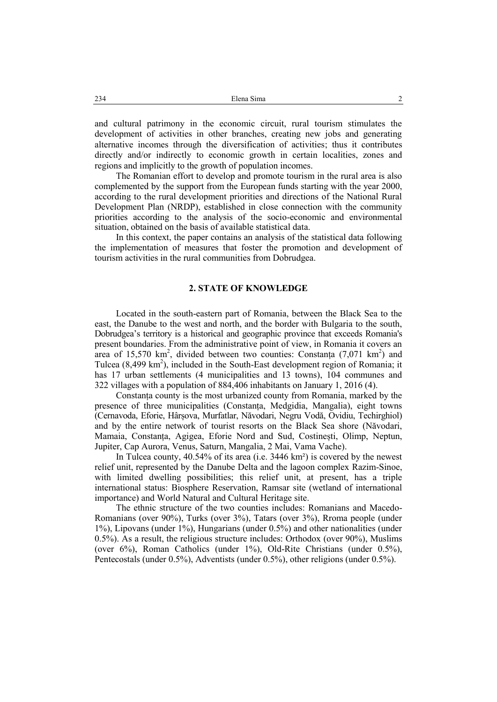and cultural patrimony in the economic circuit, rural tourism stimulates the development of activities in other branches, creating new jobs and generating alternative incomes through the diversification of activities; thus it contributes directly and/or indirectly to economic growth in certain localities, zones and regions and implicitly to the growth of population incomes.

The Romanian effort to develop and promote tourism in the rural area is also complemented by the support from the European funds starting with the year 2000, according to the rural development priorities and directions of the National Rural Development Plan (NRDP), established in close connection with the community priorities according to the analysis of the socio-economic and environmental situation, obtained on the basis of available statistical data.

In this context, the paper contains an analysis of the statistical data following the implementation of measures that foster the promotion and development of tourism activities in the rural communities from Dobrudgea.

### **2. STATE OF KNOWLEDGE**

Located in the south-eastern part of Romania, between the Black Sea to the east, the Danube to the west and north, and the border with Bulgaria to the south, Dobrudgea's territory is a historical and geographic province that exceeds Romania's present boundaries. From the administrative point of view, in Romania it covers an area of 15,570 km<sup>2</sup>, divided between two counties: Constanța  $(7.071 \text{ km}^2)$  and Tulcea  $(8,499 \text{ km}^2)$ , included in the South-East development region of Romania; it has 17 urban settlements (4 municipalities and 13 towns), 104 communes and 322 villages with a population of 884,406 inhabitants on January 1, 2016 (4).

Constanța county is the most urbanized county from Romania, marked by the presence of three municipalities (Constanța, Medgidia, Mangalia), eight towns (Cernavoda, Eforie, Hârșova, Murfatlar, Năvodari, Negru Vodă, Ovidiu, Techirghiol) and by the entire network of tourist resorts on the Black Sea shore (Năvodari, Mamaia, Constanța, Agigea, Eforie Nord and Sud, Costinești, Olimp, Neptun, Jupiter, Cap Aurora, Venus, Saturn, Mangalia, 2 Mai, Vama Vache).

In Tulcea county, 40.54% of its area (i.e. 3446 km²) is covered by the newest relief unit, represented by the Danube Delta and the lagoon complex Razim-Sinoe, with limited dwelling possibilities; this relief unit, at present, has a triple international status: Biosphere Reservation, Ramsar site (wetland of international importance) and World Natural and Cultural Heritage site.

The ethnic structure of the two counties includes: Romanians and Macedo-Romanians (over 90%), Turks (over 3%), Tatars (over 3%), Rroma people (under 1%), Lipovans (under 1%), Hungarians (under 0.5%) and other nationalities (under 0.5%). As a result, the religious structure includes: Orthodox (over 90%), Muslims (over 6%), Roman Catholics (under 1%), Old-Rite Christians (under 0.5%), Pentecostals (under 0.5%), Adventists (under 0.5%), other religions (under 0.5%).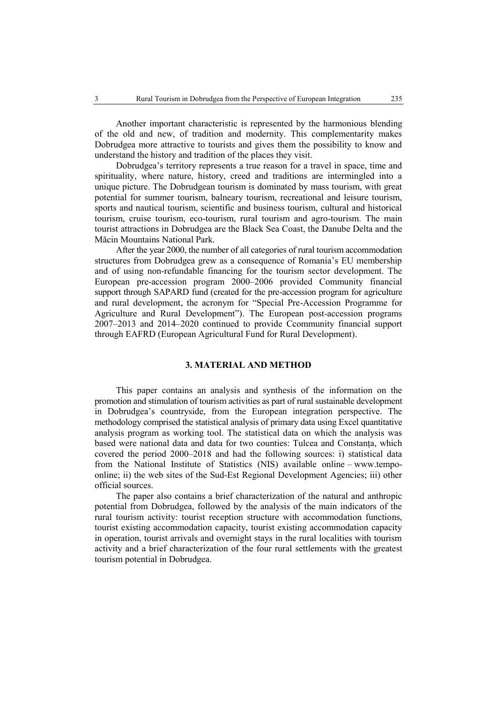Another important characteristic is represented by the harmonious blending of the old and new, of tradition and modernity. This complementarity makes Dobrudgea more attractive to tourists and gives them the possibility to know and understand the history and tradition of the places they visit.

Dobrudgea's territory represents a true reason for a travel in space, time and spirituality, where nature, history, creed and traditions are intermingled into a unique picture. The Dobrudgean tourism is dominated by mass tourism, with great potential for summer tourism, balneary tourism, recreational and leisure tourism, sports and nautical tourism, scientific and business tourism, cultural and historical tourism, cruise tourism, eco-tourism, rural tourism and agro-tourism. The main tourist attractions in Dobrudgea are the Black Sea Coast, the Danube Delta and the Măcin Mountains National Park.

After the year 2000, the number of all categories of rural tourism accommodation structures from Dobrudgea grew as a consequence of Romania's EU membership and of using non-refundable financing for the tourism sector development. The European pre-accession program 2000–2006 provided Community financial support through SAPARD fund (created for the pre-accession program for agriculture and rural development, the acronym for "Special Pre-Accession Programme for Agriculture and Rural Development"). The European post-accession programs 2007–2013 and 2014–2020 continued to provide Ccommunity financial support through EAFRD (European Agricultural Fund for Rural Development).

### **3. MATERIAL AND METHOD**

This paper contains an analysis and synthesis of the information on the promotion and stimulation of tourism activities as part of rural sustainable development in Dobrudgea's countryside, from the European integration perspective. The methodology comprised the statistical analysis of primary data using Excel quantitative analysis program as working tool. The statistical data on which the analysis was based were national data and data for two counties: Tulcea and Constanța, which covered the period 2000–2018 and had the following sources: i) statistical data from the National Institute of Statistics (NIS) available online – www.tempoonline; ii) the web sites of the Sud-Est Regional Development Agencies; iii) other official sources.

The paper also contains a brief characterization of the natural and anthropic potential from Dobrudgea, followed by the analysis of the main indicators of the rural tourism activity: tourist reception structure with accommodation functions, tourist existing accommodation capacity, tourist existing accommodation capacity in operation, tourist arrivals and overnight stays in the rural localities with tourism activity and a brief characterization of the four rural settlements with the greatest tourism potential in Dobrudgea.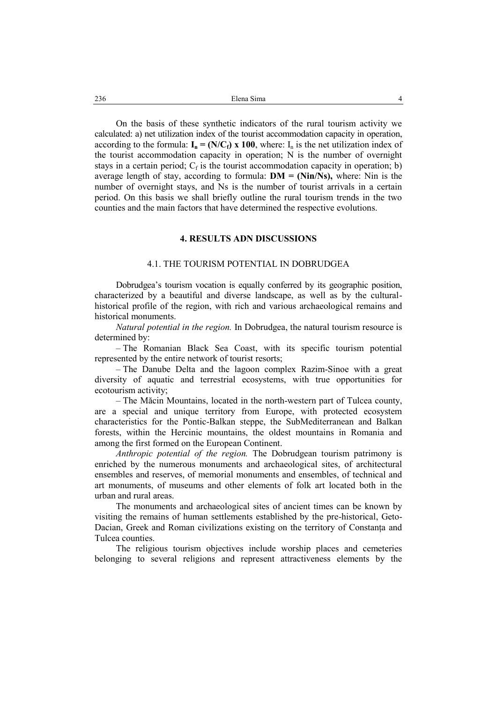On the basis of these synthetic indicators of the rural tourism activity we calculated: a) net utilization index of the tourist accommodation capacity in operation, according to the formula:  $I_n = (N/C_f)$  x 100, where:  $I_n$  is the net utilization index of the tourist accommodation capacity in operation; N is the number of overnight stays in a certain period;  $C_f$  is the tourist accommodation capacity in operation; b) average length of stay, according to formula: **DM = (Nin/Ns),** where: Nin is the number of overnight stays, and Ns is the number of tourist arrivals in a certain period. On this basis we shall briefly outline the rural tourism trends in the two counties and the main factors that have determined the respective evolutions.

### **4. RESULTS ADN DISCUSSIONS**

### 4.1. THE TOURISM POTENTIAL IN DOBRUDGEA

Dobrudgea's tourism vocation is equally conferred by its geographic position, characterized by a beautiful and diverse landscape, as well as by the culturalhistorical profile of the region, with rich and various archaeological remains and historical monuments.

*Natural potential in the region.* In Dobrudgea, the natural tourism resource is determined by:

– The Romanian Black Sea Coast, with its specific tourism potential represented by the entire network of tourist resorts;

– The Danube Delta and the lagoon complex Razim-Sinoe with a great diversity of aquatic and terrestrial ecosystems, with true opportunities for ecotourism activity;

– The Măcin Mountains, located in the north-western part of Tulcea county, are a special and unique territory from Europe, with protected ecosystem characteristics for the Pontic-Balkan steppe, the SubMediterranean and Balkan forests, within the Hercinic mountains, the oldest mountains in Romania and among the first formed on the European Continent.

*Anthropic potential of the region.* The Dobrudgean tourism patrimony is enriched by the numerous monuments and archaeological sites, of architectural ensembles and reserves, of memorial monuments and ensembles, of technical and art monuments, of museums and other elements of folk art located both in the urban and rural areas.

The monuments and archaeological sites of ancient times can be known by visiting the remains of human settlements established by the pre-historical, Geto-Dacian, Greek and Roman civilizations existing on the territory of Constanța and Tulcea counties.

The religious tourism objectives include worship places and cemeteries belonging to several religions and represent attractiveness elements by the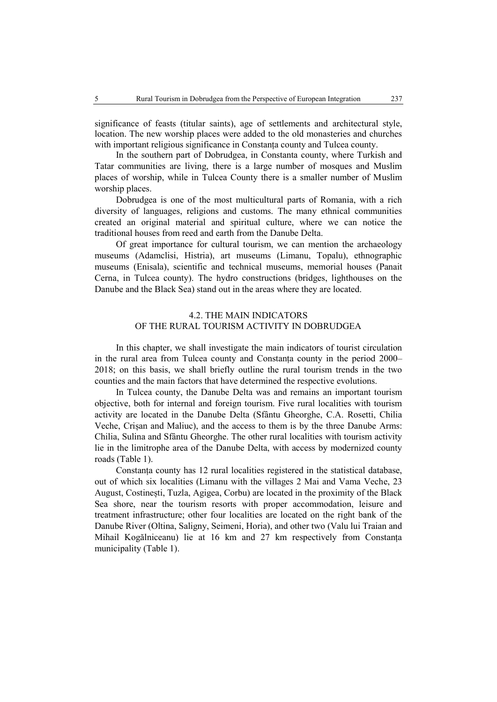significance of feasts (titular saints), age of settlements and architectural style, location. The new worship places were added to the old monasteries and churches with important religious significance in Constanța county and Tulcea county.

In the southern part of Dobrudgea, in Constanta county, where Turkish and Tatar communities are living, there is a large number of mosques and Muslim places of worship, while in Tulcea County there is a smaller number of Muslim worship places.

Dobrudgea is one of the most multicultural parts of Romania, with a rich diversity of languages, religions and customs. The many ethnical communities created an original material and spiritual culture, where we can notice the traditional houses from reed and earth from the Danube Delta.

Of great importance for cultural tourism, we can mention the archaeology museums (Adamclisi, Histria), art museums (Limanu, Topalu), ethnographic museums (Enisala), scientific and technical museums, memorial houses (Panait Cerna, in Tulcea county). The hydro constructions (bridges, lighthouses on the Danube and the Black Sea) stand out in the areas where they are located.

## 4.2. THE MAIN INDICATORS OF THE RURAL TOURISM ACTIVITY IN DOBRUDGEA

In this chapter, we shall investigate the main indicators of tourist circulation in the rural area from Tulcea county and Constanța county in the period 2000– 2018; on this basis, we shall briefly outline the rural tourism trends in the two counties and the main factors that have determined the respective evolutions.

In Tulcea county, the Danube Delta was and remains an important tourism objective, both for internal and foreign tourism. Five rural localities with tourism activity are located in the Danube Delta (Sfântu Gheorghe, C.A. Rosetti, Chilia Veche, Crișan and Maliuc), and the access to them is by the three Danube Arms: Chilia, Sulina and Sfântu Gheorghe. The other rural localities with tourism activity lie in the limitrophe area of the Danube Delta, with access by modernized county roads (Table 1).

Constanța county has 12 rural localities registered in the statistical database, out of which six localities (Limanu with the villages 2 Mai and Vama Veche, 23 August, Costinești, Tuzla, Agigea, Corbu) are located in the proximity of the Black Sea shore, near the tourism resorts with proper accommodation, leisure and treatment infrastructure; other four localities are located on the right bank of the Danube River (Oltina, Saligny, Seimeni, Horia), and other two (Valu lui Traian and Mihail Kogălniceanu) lie at 16 km and 27 km respectively from Constanța municipality (Table 1).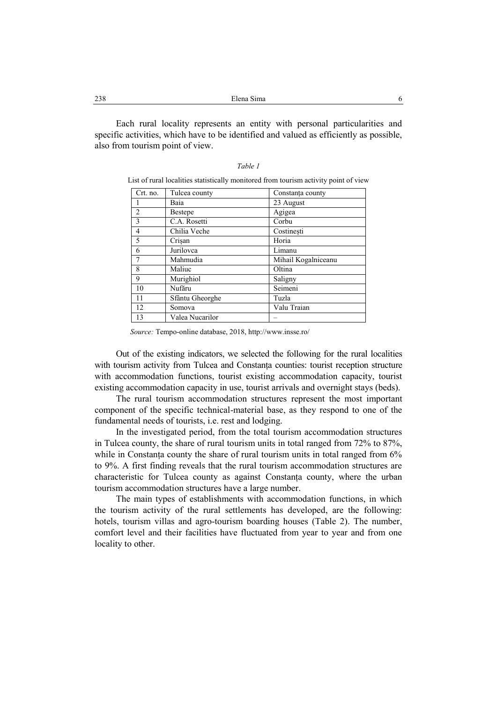Each rural locality represents an entity with personal particularities and specific activities, which have to be identified and valued as efficiently as possible, also from tourism point of view.

| Table 1 |  |  |
|---------|--|--|
|         |  |  |

|  |  | List of rural localities statistically monitored from tourism activity point of view |  |  |  |
|--|--|--------------------------------------------------------------------------------------|--|--|--|
|  |  |                                                                                      |  |  |  |

| Crt. no.       | Tulcea county   | Constanța county    |
|----------------|-----------------|---------------------|
|                | Baia            | 23 August           |
| $\overline{2}$ | <b>Bestepe</b>  | Agigea              |
| $\overline{3}$ | C.A. Rosetti    | Corbu               |
| $\overline{4}$ | Chilia Veche    | Costinesti          |
| 5              | Crisan          | Horia               |
| 6              | Jurilovca       | Limanu              |
|                | Mahmudia        | Mihail Kogalniceanu |
| 8              | Maliuc          | Oltina              |
| 9              | Murighiol       | Saligny             |
| 10             | Nufăru          | Seimeni             |
| 11             | Sfântu Gheorghe | Tuzla               |
| 12             | Somova          | Valu Traian         |
| 13             | Valea Nucarilor |                     |

*Source:* Tempo-online database, 2018, http://www.insse.ro/

Out of the existing indicators, we selected the following for the rural localities with tourism activity from Tulcea and Constanța counties: tourist reception structure with accommodation functions, tourist existing accommodation capacity, tourist existing accommodation capacity in use, tourist arrivals and overnight stays (beds).

The rural tourism accommodation structures represent the most important component of the specific technical-material base, as they respond to one of the fundamental needs of tourists, i.e. rest and lodging.

In the investigated period, from the total tourism accommodation structures in Tulcea county, the share of rural tourism units in total ranged from 72% to 87%, while in Constanta county the share of rural tourism units in total ranged from  $6\%$ to 9%. A first finding reveals that the rural tourism accommodation structures are characteristic for Tulcea county as against Constanța county, where the urban tourism accommodation structures have a large number.

The main types of establishments with accommodation functions, in which the tourism activity of the rural settlements has developed, are the following: hotels, tourism villas and agro-tourism boarding houses (Table 2). The number, comfort level and their facilities have fluctuated from year to year and from one locality to other.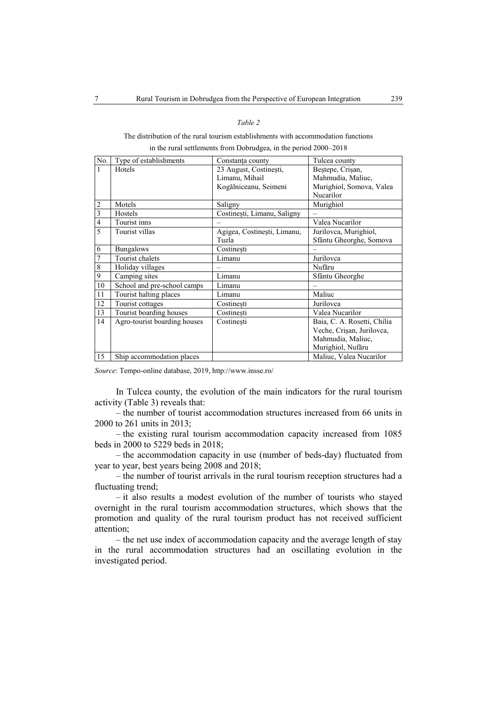### *Table 2*

## The distribution of the rural tourism establishments with accommodation functions in the rural settlements from Dobrudgea, in the period 2000–2018

| No. | Type of establishments       | Constanța county            | Tulcea county               |
|-----|------------------------------|-----------------------------|-----------------------------|
| 1   | Hotels                       | 23 August, Costinești,      | Beștepe, Crișan,            |
|     |                              | Limanu, Mihail              | Mahmudia, Maliuc,           |
|     |                              | Kogălniceanu, Seimeni       | Murighiol, Somova, Valea    |
|     |                              |                             | Nucarilor                   |
| 2   | Motels                       | Saligny                     | Murighiol                   |
| 3   | Hostels                      | Costinești, Limanu, Saligny |                             |
| 4   | Tourist inns                 |                             | Valea Nucarilor             |
| 5   | Tourist villas               | Agigea, Costinești, Limanu, | Jurilovca, Murighiol,       |
|     |                              | Tuzla                       | Sfântu Gheorghe, Somova     |
| 6   | <b>Bungalows</b>             | Costinesti                  |                             |
| 7   | Tourist chalets              | Limanu                      | Jurilovca                   |
| 8   | Holiday villages             |                             | Nufăru                      |
| 9   | Camping sites                | Limanu                      | Sfântu Gheorghe             |
| 10  | School and pre-school camps  | Limanu                      |                             |
| 11  | Tourist halting places       | Limanu                      | Maliuc                      |
| 12  | Tourist cottages             | Costinesti                  | Jurilovca                   |
| 13  | Tourist boarding houses      | Costinesti                  | Valea Nucarilor             |
| 14  | Agro-tourist boarding houses | Costinești                  | Baia, C. A. Rosetti, Chilia |
|     |                              |                             | Veche, Crișan, Jurilovca,   |
|     |                              |                             | Mahmudia, Maliuc,           |
|     |                              |                             | Murighiol, Nufăru           |
| 15  | Ship accommodation places    |                             | Maliuc, Valea Nucarilor     |

*Source*: Tempo-online database, 2019, http://www.insse.ro/

In Tulcea county, the evolution of the main indicators for the rural tourism activity (Table 3) reveals that:

– the number of tourist accommodation structures increased from 66 units in 2000 to 261 units in 2013;

– the existing rural tourism accommodation capacity increased from 1085 beds in 2000 to 5229 beds in 2018;

– the accommodation capacity in use (number of beds-day) fluctuated from year to year, best years being 2008 and 2018;

– the number of tourist arrivals in the rural tourism reception structures had a fluctuating trend;

– it also results a modest evolution of the number of tourists who stayed overnight in the rural tourism accommodation structures, which shows that the promotion and quality of the rural tourism product has not received sufficient attention;

– the net use index of accommodation capacity and the average length of stay in the rural accommodation structures had an oscillating evolution in the investigated period.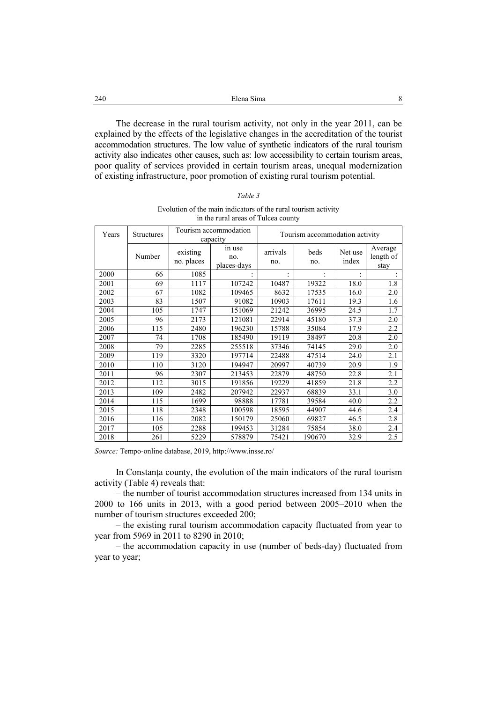| 240<br>__ | Elena Sima |  |
|-----------|------------|--|
|           |            |  |

The decrease in the rural tourism activity, not only in the year 2011, can be explained by the effects of the legislative changes in the accreditation of the tourist accommodation structures. The low value of synthetic indicators of the rural tourism activity also indicates other causes, such as: low accessibility to certain tourism areas, poor quality of services provided in certain tourism areas, unequal modernization of existing infrastructure, poor promotion of existing rural tourism potential.

| ۰.<br>۰.<br>I |  |
|---------------|--|
|---------------|--|

Evolution of the main indicators of the rural tourism activity in the rural areas of Tulcea county

| Years | Structures |                        | Tourism accommodation<br>capacity |                 | Tourism accommodation activity |                  |                              |
|-------|------------|------------------------|-----------------------------------|-----------------|--------------------------------|------------------|------------------------------|
|       | Number     | existing<br>no. places | in use<br>no.<br>places-days      | arrivals<br>no. | beds<br>no.                    | Net use<br>index | Average<br>length of<br>stay |
| 2000  | 66         | 1085                   |                                   |                 |                                |                  |                              |
| 2001  | 69         | 1117                   | 107242                            | 10487           | 19322                          | 18.0             | 1.8                          |
| 2002  | 67         | 1082                   | 109465                            | 8632            | 17535                          | 16.0             | 2.0                          |
| 2003  | 83         | 1507                   | 91082                             | 10903           | 17611                          | 19.3             | 1.6                          |
| 2004  | 105        | 1747                   | 151069                            | 21242           | 36995                          | 24.5             | 1.7                          |
| 2005  | 96         | 2173                   | 121081                            | 22914           | 45180                          | 37.3             | 2.0                          |
| 2006  | 115        | 2480                   | 196230                            | 15788           | 35084                          | 17.9             | 2.2                          |
| 2007  | 74         | 1708                   | 185490                            | 19119           | 38497                          | 20.8             | 2.0                          |
| 2008  | 79         | 2285                   | 255518                            | 37346           | 74145                          | 29.0             | 2.0                          |
| 2009  | 119        | 3320                   | 197714                            | 22488           | 47514                          | 24.0             | 2.1                          |
| 2010  | 110        | 3120                   | 194947                            | 20997           | 40739                          | 20.9             | 1.9                          |
| 2011  | 96         | 2307                   | 213453                            | 22879           | 48750                          | 22.8             | 2.1                          |
| 2012  | 112        | 3015                   | 191856                            | 19229           | 41859                          | 21.8             | 2.2                          |
| 2013  | 109        | 2482                   | 207942                            | 22937           | 68839                          | 33.1             | 3.0                          |
| 2014  | 115        | 1699                   | 98888                             | 17781           | 39584                          | 40.0             | 2.2                          |
| 2015  | 118        | 2348                   | 100598                            | 18595           | 44907                          | 44.6             | 2.4                          |
| 2016  | 116        | 2082                   | 150179                            | 25060           | 69827                          | 46.5             | 2.8                          |
| 2017  | 105        | 2288                   | 199453                            | 31284           | 75854                          | 38.0             | 2.4                          |
| 2018  | 261        | 5229                   | 578879                            | 75421           | 190670                         | 32.9             | 2.5                          |

*Source:* Tempo-online database, 2019, http://www.insse.ro/

In Constanța county, the evolution of the main indicators of the rural tourism activity (Table 4) reveals that:

– the number of tourist accommodation structures increased from 134 units in 2000 to 166 units in 2013, with a good period between 2005–2010 when the number of tourism structures exceeded 200;

– the existing rural tourism accommodation capacity fluctuated from year to year from 5969 in 2011 to 8290 in 2010;

– the accommodation capacity in use (number of beds-day) fluctuated from year to year;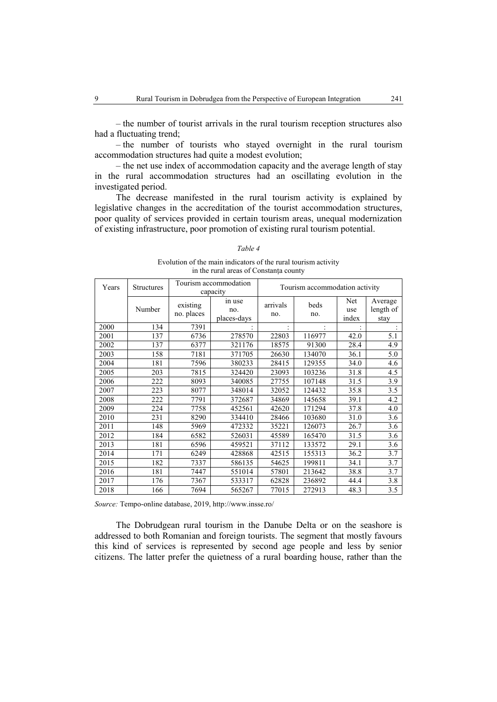– the number of tourists who stayed overnight in the rural tourism accommodation structures had quite a modest evolution;

– the net use index of accommodation capacity and the average length of stay in the rural accommodation structures had an oscillating evolution in the investigated period.

The decrease manifested in the rural tourism activity is explained by legislative changes in the accreditation of the tourist accommodation structures, poor quality of services provided in certain tourism areas, unequal modernization of existing infrastructure, poor promotion of existing rural tourism potential.

### *Table 4*

Evolution of the main indicators of the rural tourism activity in the rural areas of Constanța county

| Years | <b>Structures</b> |                        | Tourism accommodation<br>capacity |                 | Tourism accommodation activity |                     |                              |
|-------|-------------------|------------------------|-----------------------------------|-----------------|--------------------------------|---------------------|------------------------------|
|       | Number            | existing<br>no. places | in use<br>no.<br>places-days      | arrivals<br>no. | beds<br>no.                    | Net<br>use<br>index | Average<br>length of<br>stay |
| 2000  | 134               | 7391                   |                                   |                 |                                |                     |                              |
| 2001  | 137               | 6736                   | 278570                            | 22803           | 116977                         | 42.0                | 5.1                          |
| 2002  | 137               | 6377                   | 321176                            | 18575           | 91300                          | 28.4                | 4.9                          |
| 2003  | 158               | 7181                   | 371705                            | 26630           | 134070                         | 36.1                | 5.0                          |
| 2004  | 181               | 7596                   | 380233                            | 28415           | 129355                         | 34.0                | 4.6                          |
| 2005  | 203               | 7815                   | 324420                            | 23093           | 103236                         | 31.8                | 4.5                          |
| 2006  | 222               | 8093                   | 340085                            | 27755           | 107148                         | 31.5                | 3.9                          |
| 2007  | 223               | 8077                   | 348014                            | 32052           | 124432                         | 35.8                | 3.5                          |
| 2008  | 222               | 7791                   | 372687                            | 34869           | 145658                         | 39.1                | 4.2                          |
| 2009  | 224               | 7758                   | 452561                            | 42620           | 171294                         | 37.8                | 4.0                          |
| 2010  | 231               | 8290                   | 334410                            | 28466           | 103680                         | 31.0                | 3.6                          |
| 2011  | 148               | 5969                   | 472332                            | 35221           | 126073                         | 26.7                | 3.6                          |
| 2012  | 184               | 6582                   | 526031                            | 45589           | 165470                         | 31.5                | 3.6                          |
| 2013  | 181               | 6596                   | 459521                            | 37112           | 133572                         | 29.1                | 3.6                          |
| 2014  | 171               | 6249                   | 428868                            | 42515           | 155313                         | 36.2                | 3.7                          |
| 2015  | 182               | 7337                   | 586135                            | 54625           | 199811                         | 34.1                | 3.7                          |
| 2016  | 181               | 7447                   | 551014                            | 57801           | 213642                         | 38.8                | 3.7                          |
| 2017  | 176               | 7367                   | 533317                            | 62828           | 236892                         | 44.4                | 3.8                          |
| 2018  | 166               | 7694                   | 565267                            | 77015           | 272913                         | 48.3                | 3.5                          |

*Source:* Tempo-online database, 2019, http://www.insse.ro/

The Dobrudgean rural tourism in the Danube Delta or on the seashore is addressed to both Romanian and foreign tourists. The segment that mostly favours this kind of services is represented by second age people and less by senior citizens. The latter prefer the quietness of a rural boarding house, rather than the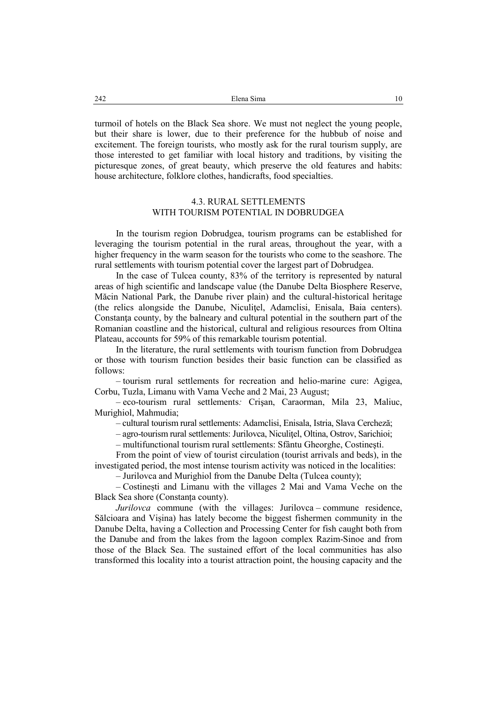turmoil of hotels on the Black Sea shore. We must not neglect the young people, but their share is lower, due to their preference for the hubbub of noise and excitement. The foreign tourists, who mostly ask for the rural tourism supply, are those interested to get familiar with local history and traditions, by visiting the picturesque zones, of great beauty, which preserve the old features and habits: house architecture, folklore clothes, handicrafts, food specialties.

## 4.3. RURAL SETTLEMENTS WITH TOURISM POTENTIAL IN DOBRUDGEA

In the tourism region Dobrudgea, tourism programs can be established for leveraging the tourism potential in the rural areas, throughout the year, with a higher frequency in the warm season for the tourists who come to the seashore. The rural settlements with tourism potential cover the largest part of Dobrudgea.

In the case of Tulcea county, 83% of the territory is represented by natural areas of high scientific and landscape value (the Danube Delta Biosphere Reserve, Măcin National Park, the Danube river plain) and the cultural-historical heritage (the relics alongside the Danube, Niculiţel, Adamclisi, Enisala, Baia centers). Constanţa county, by the balneary and cultural potential in the southern part of the Romanian coastline and the historical, cultural and religious resources from Oltina Plateau, accounts for 59% of this remarkable tourism potential.

In the literature, the rural settlements with tourism function from Dobrudgea or those with tourism function besides their basic function can be classified as follows:

– tourism rural settlements for recreation and helio-marine cure: Agigea, Corbu, Tuzla, Limanu with Vama Veche and 2 Mai, 23 August;

– eco-tourism rural settlements*:* Crişan, Caraorman, Mila 23, Maliuc, Murighiol, Mahmudia;

– cultural tourism rural settlements: Adamclisi, Enisala, Istria, Slava Cercheză;

– agro-tourism rural settlements: Jurilovca, Niculiţel, Oltina, Ostrov, Sarichioi;

– multifunctional tourism rural settlements: Sfântu Gheorghe, Costineşti.

From the point of view of tourist circulation (tourist arrivals and beds), in the investigated period, the most intense tourism activity was noticed in the localities:

– Jurilovca and Murighiol from the Danube Delta (Tulcea county);

– Costinești and Limanu with the villages 2 Mai and Vama Veche on the Black Sea shore (Constanța county).

*Jurilovca* commune (with the villages: Jurilovca – commune residence, Sălcioara and Vișina) has lately become the biggest fishermen community in the Danube Delta, having a Collection and Processing Center for fish caught both from the Danube and from the lakes from the lagoon complex Razim-Sinoe and from those of the Black Sea. The sustained effort of the local communities has also transformed this locality into a tourist attraction point, the housing capacity and the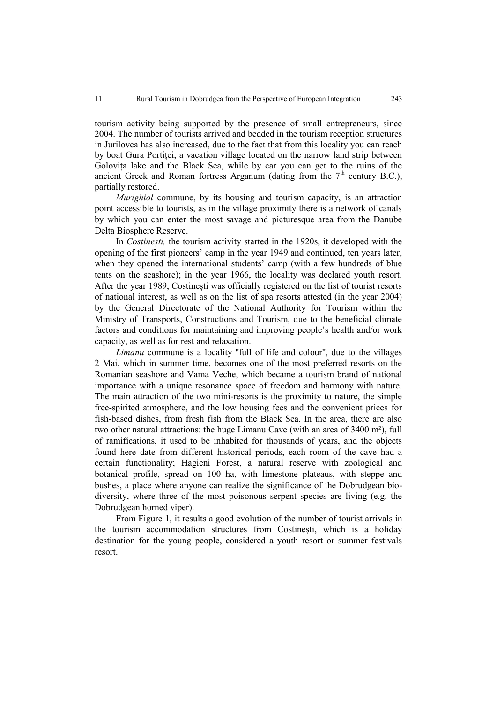tourism activity being supported by the presence of small entrepreneurs, since 2004. The number of tourists arrived and bedded in the tourism reception structures in Jurilovca has also increased, due to the fact that from this locality you can reach by boat Gura Portiței, a vacation village located on the narrow land strip between Golovița lake and the Black Sea, while by car you can get to the ruins of the ancient Greek and Roman fortress Arganum (dating from the  $7<sup>th</sup>$  century B.C.), partially restored.

*Murighiol* commune, by its housing and tourism capacity, is an attraction point accessible to tourists, as in the village proximity there is a network of canals by which you can enter the most savage and picturesque area from the Danube Delta Biosphere Reserve.

In *Costinești,* the tourism activity started in the 1920s, it developed with the opening of the first pioneers' camp in the year 1949 and continued, ten years later, when they opened the international students' camp (with a few hundreds of blue tents on the seashore); in the year 1966, the locality was declared youth resort. After the year 1989, Costinești was officially registered on the list of tourist resorts of national interest, as well as on the list of spa resorts attested (in the year 2004) by the General Directorate of the National Authority for Tourism within the Ministry of Transports, Constructions and Tourism, due to the beneficial climate factors and conditions for maintaining and improving people's health and/or work capacity, as well as for rest and relaxation.

*Limanu* commune is a locality ''full of life and colour'', due to the villages 2 Mai, which in summer time, becomes one of the most preferred resorts on the Romanian seashore and Vama Veche, which became a tourism brand of national importance with a unique resonance space of freedom and harmony with nature. The main attraction of the two mini-resorts is the proximity to nature, the simple free-spirited atmosphere, and the low housing fees and the convenient prices for fish-based dishes, from fresh fish from the Black Sea. In the area, there are also two other natural attractions: the huge Limanu Cave (with an area of 3400 m²), full of ramifications, it used to be inhabited for thousands of years, and the objects found here date from different historical periods, each room of the cave had a certain functionality; Hagieni Forest, a natural reserve with zoological and botanical profile, spread on 100 ha, with limestone plateaus, with steppe and bushes, a place where anyone can realize the significance of the Dobrudgean biodiversity, where three of the most poisonous serpent species are living (e.g. the Dobrudgean horned viper).

From Figure 1, it results a good evolution of the number of tourist arrivals in the tourism accommodation structures from Costinești, which is a holiday destination for the young people, considered a youth resort or summer festivals resort.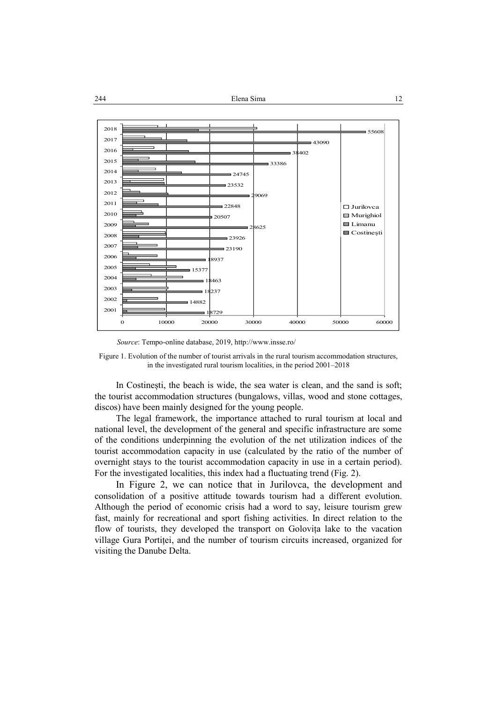

*Source*: Tempo-online database, 2019, http://www.insse.ro/

Figure 1. Evolution of the number of tourist arrivals in the rural tourism accommodation structures, in the investigated rural tourism localities, in the period 2001–2018

In Costinești, the beach is wide, the sea water is clean, and the sand is soft; the tourist accommodation structures (bungalows, villas, wood and stone cottages, discos) have been mainly designed for the young people.

The legal framework, the importance attached to rural tourism at local and national level, the development of the general and specific infrastructure are some of the conditions underpinning the evolution of the net utilization indices of the tourist accommodation capacity in use (calculated by the ratio of the number of overnight stays to the tourist accommodation capacity in use in a certain period). For the investigated localities, this index had a fluctuating trend (Fig. 2).

In Figure 2, we can notice that in Jurilovca, the development and consolidation of a positive attitude towards tourism had a different evolution. Although the period of economic crisis had a word to say, leisure tourism grew fast, mainly for recreational and sport fishing activities. In direct relation to the flow of tourists, they developed the transport on Golovița lake to the vacation village Gura Portiței, and the number of tourism circuits increased, organized for visiting the Danube Delta.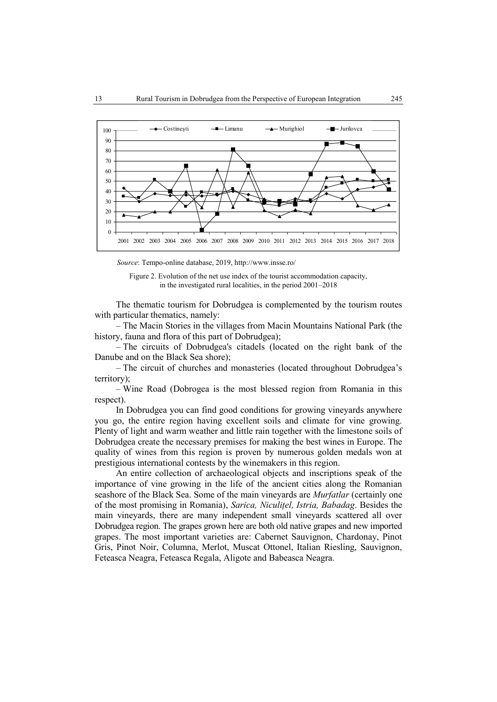

*Source*: Tempo-online database, 2019, http://www.insse.ro/

Figure 2. Evolution of the net use index of the tourist accommodation capacity, in the investigated rural localities, in the period 2001–2018

The thematic tourism for Dobrudgea is complemented by the tourism routes with particular thematics, namely:

– The Macin Stories in the villages from Macin Mountains National Park (the history, fauna and flora of this part of Dobrudgea);

– The circuits of Dobrudgea's citadels (located on the right bank of the Danube and on the Black Sea shore);

– The circuit of churches and monasteries (located throughout Dobrudgea's territory);

– Wine Road (Dobrogea is the most blessed region from Romania in this respect).

In Dobrudgea you can find good conditions for growing vineyards anywhere you go, the entire region having excellent soils and climate for vine growing. Plenty of light and warm weather and little rain together with the limestone soils of Dobrudgea create the necessary premises for making the best wines in Europe. The quality of wines from this region is proven by numerous golden medals won at prestigious international contests by the winemakers in this region.

An entire collection of archaeological objects and inscriptions speak of the importance of vine growing in the life of the ancient cities along the Romanian seashore of the Black Sea. Some of the main vineyards are *Murfatlar* (certainly one of the most promising in Romania), *Sarica, Niculițel, Istria, Babadag*. Besides the main vineyards, there are many independent small vineyards scattered all over Dobrudgea region. The grapes grown here are both old native grapes and new imported grapes. The most important varieties are: Cabernet Sauvignon, Chardonay, Pinot Gris, Pinot Noir, Columna, Merlot, Muscat Ottonel, Italian Riesling, Sauvignon, Feteasca Neagra, Feteasca Regala, Aligote and Babeasca Neagra.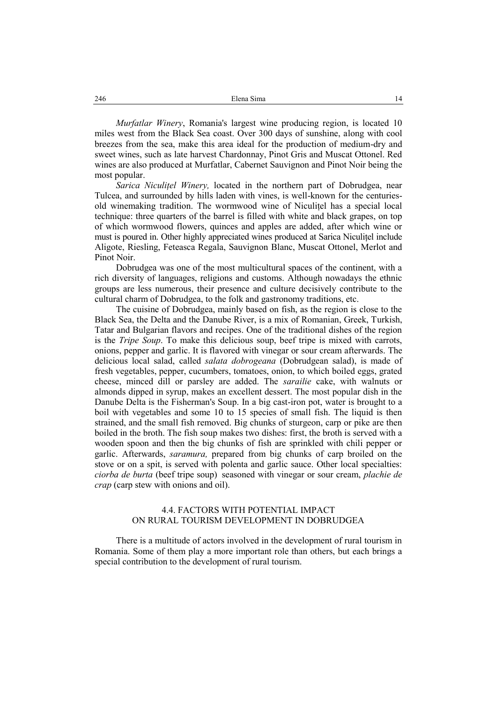*Murfatlar Winery*, Romania's largest wine producing region, is located 10 miles west from the Black Sea coast. Over 300 days of sunshine, along with cool breezes from the sea, make this area ideal for the production of medium-dry and sweet wines, such as late harvest Chardonnay, Pinot Gris and Muscat Ottonel. Red wines are also produced at Murfatlar, Cabernet Sauvignon and Pinot Noir being the most popular.

*Sarica Niculițel Winery,* located in the northern part of Dobrudgea, near Tulcea, and surrounded by hills laden with vines, is well-known for the centuriesold winemaking tradition. The wormwood wine of Niculițel has a special local technique: three quarters of the barrel is filled with white and black grapes, on top of which wormwood flowers, quinces and apples are added, after which wine or must is poured in. Other highly appreciated wines produced at Sarica Niculițel include Aligote, Riesling, Feteasca Regala, Sauvignon Blanc, Muscat Ottonel, Merlot and Pinot Noir.

Dobrudgea was one of the most multicultural spaces of the continent, with a rich diversity of languages, religions and customs. Although nowadays the ethnic groups are less numerous, their presence and culture decisively contribute to the cultural charm of Dobrudgea, to the folk and gastronomy traditions, etc.

The cuisine of Dobrudgea, mainly based on fish, as the region is close to the Black Sea, the Delta and the Danube River, is a mix of Romanian, Greek, Turkish, Tatar and Bulgarian flavors and recipes. One of the traditional dishes of the region is the *Tripe Soup*. To make this delicious soup, beef tripe is mixed with carrots, onions, pepper and garlic. It is flavored with vinegar or sour cream afterwards. The delicious local salad, called *salata dobrogeana* (Dobrudgean salad), is made of fresh vegetables, pepper, cucumbers, tomatoes, onion, to which boiled eggs, grated cheese, minced dill or parsley are added. The *sarailie* cake, with walnuts or almonds dipped in syrup, makes an excellent dessert. The most popular dish in the Danube Delta is the Fisherman's Soup. In a big cast-iron pot, water is brought to a boil with vegetables and some 10 to 15 species of small fish. The liquid is then strained, and the small fish removed. Big chunks of sturgeon, carp or pike are then boiled in the broth. The fish soup makes two dishes: first, the broth is served with a wooden spoon and then the big chunks of fish are sprinkled with chili pepper or garlic. Afterwards, *saramura,* prepared from big chunks of carp broiled on the stove or on a spit, is served with polenta and garlic sauce. Other local specialties: *ciorba de burta* (beef tripe soup) seasoned with vinegar or sour cream, *plachie de crap* (carp stew with onions and oil).

## 4.4. FACTORS WITH POTENTIAL IMPACT ON RURAL TOURISM DEVELOPMENT IN DOBRUDGEA

There is a multitude of actors involved in the development of rural tourism in Romania. Some of them play a more important role than others, but each brings a special contribution to the development of rural tourism.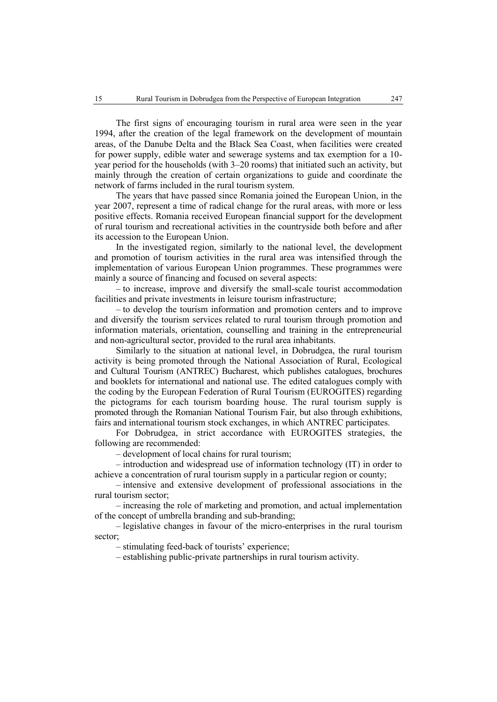The first signs of encouraging tourism in rural area were seen in the year 1994, after the creation of the legal framework on the development of mountain areas, of the Danube Delta and the Black Sea Coast, when facilities were created for power supply, edible water and sewerage systems and tax exemption for a 10 year period for the households (with 3–20 rooms) that initiated such an activity, but mainly through the creation of certain organizations to guide and coordinate the network of farms included in the rural tourism system.

The years that have passed since Romania joined the European Union, in the year 2007, represent a time of radical change for the rural areas, with more or less positive effects. Romania received European financial support for the development of rural tourism and recreational activities in the countryside both before and after its accession to the European Union.

In the investigated region, similarly to the national level, the development and promotion of tourism activities in the rural area was intensified through the implementation of various European Union programmes. These programmes were mainly a source of financing and focused on several aspects:

– to increase, improve and diversify the small-scale tourist accommodation facilities and private investments in leisure tourism infrastructure;

– to develop the tourism information and promotion centers and to improve and diversify the tourism services related to rural tourism through promotion and information materials, orientation, counselling and training in the entrepreneurial and non-agricultural sector, provided to the rural area inhabitants.

Similarly to the situation at national level, in Dobrudgea, the rural tourism activity is being promoted through the National Association of Rural, Ecological and Cultural Tourism (ANTREC) Bucharest, which publishes catalogues, brochures and booklets for international and national use. The edited catalogues comply with the coding by the European Federation of Rural Tourism (EUROGITES) regarding the pictograms for each tourism boarding house. The rural tourism supply is promoted through the Romanian National Tourism Fair, but also through exhibitions, fairs and international tourism stock exchanges, in which ANTREC participates.

For Dobrudgea, in strict accordance with EUROGITES strategies, the following are recommended:

– development of local chains for rural tourism;

– introduction and widespread use of information technology (IT) in order to achieve a concentration of rural tourism supply in a particular region or county;

– intensive and extensive development of professional associations in the rural tourism sector;

– increasing the role of marketing and promotion, and actual implementation of the concept of umbrella branding and sub-branding;

– legislative changes in favour of the micro-enterprises in the rural tourism sector;

– stimulating feed-back of tourists' experience;

– establishing public-private partnerships in rural tourism activity.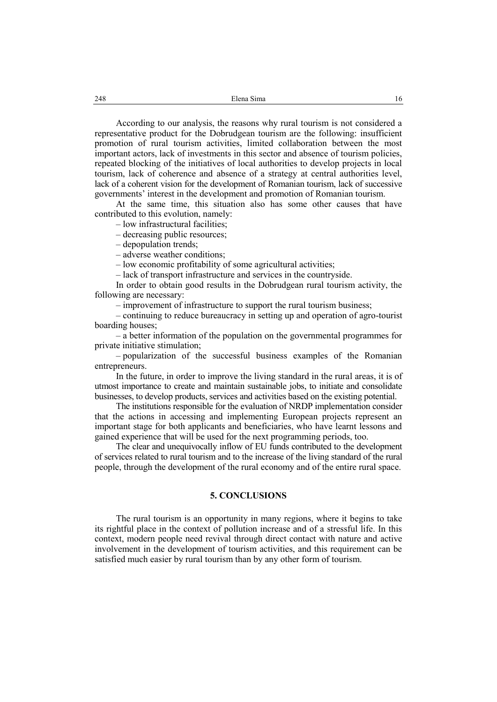According to our analysis, the reasons why rural tourism is not considered a representative product for the Dobrudgean tourism are the following: insufficient promotion of rural tourism activities, limited collaboration between the most important actors, lack of investments in this sector and absence of tourism policies, repeated blocking of the initiatives of local authorities to develop projects in local tourism, lack of coherence and absence of a strategy at central authorities level, lack of a coherent vision for the development of Romanian tourism, lack of successive governments' interest in the development and promotion of Romanian tourism.

At the same time, this situation also has some other causes that have contributed to this evolution, namely:

– low infrastructural facilities;

– decreasing public resources;

– depopulation trends;

– adverse weather conditions;

– low economic profitability of some agricultural activities;

– lack of transport infrastructure and services in the countryside.

In order to obtain good results in the Dobrudgean rural tourism activity, the following are necessary:

– improvement of infrastructure to support the rural tourism business;

– continuing to reduce bureaucracy in setting up and operation of agro-tourist boarding houses;

– a better information of the population on the governmental programmes for private initiative stimulation;

– popularization of the successful business examples of the Romanian entrepreneurs.

In the future, in order to improve the living standard in the rural areas, it is of utmost importance to create and maintain sustainable jobs, to initiate and consolidate businesses, to develop products, services and activities based on the existing potential.

The institutions responsible for the evaluation of NRDP implementation consider that the actions in accessing and implementing European projects represent an important stage for both applicants and beneficiaries, who have learnt lessons and gained experience that will be used for the next programming periods, too.

The clear and unequivocally inflow of EU funds contributed to the development of services related to rural tourism and to the increase of the living standard of the rural people, through the development of the rural economy and of the entire rural space.

### **5. CONCLUSIONS**

The rural tourism is an opportunity in many regions, where it begins to take its rightful place in the context of pollution increase and of a stressful life. In this context, modern people need revival through direct contact with nature and active involvement in the development of tourism activities, and this requirement can be satisfied much easier by rural tourism than by any other form of tourism.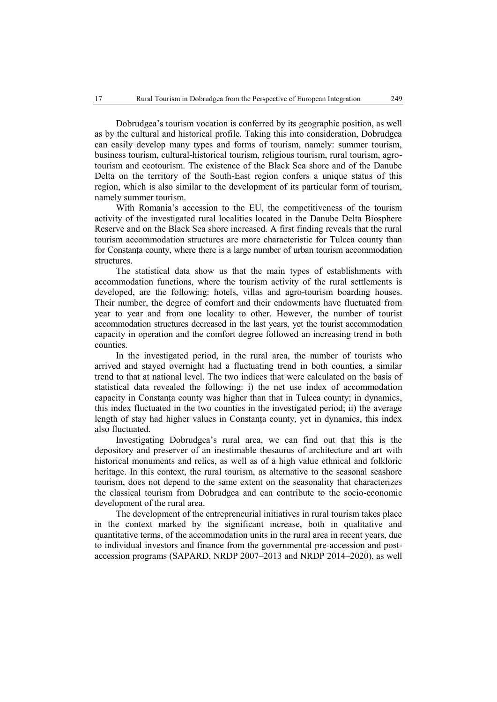Dobrudgea's tourism vocation is conferred by its geographic position, as well as by the cultural and historical profile. Taking this into consideration, Dobrudgea can easily develop many types and forms of tourism, namely: summer tourism, business tourism, cultural-historical tourism, religious tourism, rural tourism, agrotourism and ecotourism. The existence of the Black Sea shore and of the Danube Delta on the territory of the South-East region confers a unique status of this region, which is also similar to the development of its particular form of tourism, namely summer tourism.

With Romania's accession to the EU, the competitiveness of the tourism activity of the investigated rural localities located in the Danube Delta Biosphere Reserve and on the Black Sea shore increased. A first finding reveals that the rural tourism accommodation structures are more characteristic for Tulcea county than for Constanța county, where there is a large number of urban tourism accommodation structures.

The statistical data show us that the main types of establishments with accommodation functions, where the tourism activity of the rural settlements is developed, are the following: hotels, villas and agro-tourism boarding houses. Their number, the degree of comfort and their endowments have fluctuated from year to year and from one locality to other. However, the number of tourist accommodation structures decreased in the last years, yet the tourist accommodation capacity in operation and the comfort degree followed an increasing trend in both counties.

In the investigated period, in the rural area, the number of tourists who arrived and stayed overnight had a fluctuating trend in both counties, a similar trend to that at national level. The two indices that were calculated on the basis of statistical data revealed the following: i) the net use index of accommodation capacity in Constanța county was higher than that in Tulcea county; in dynamics, this index fluctuated in the two counties in the investigated period; ii) the average length of stay had higher values in Constanța county, yet in dynamics, this index also fluctuated.

Investigating Dobrudgea's rural area, we can find out that this is the depository and preserver of an inestimable thesaurus of architecture and art with historical monuments and relics, as well as of a high value ethnical and folkloric heritage. In this context, the rural tourism, as alternative to the seasonal seashore tourism, does not depend to the same extent on the seasonality that characterizes the classical tourism from Dobrudgea and can contribute to the socio-economic development of the rural area.

The development of the entrepreneurial initiatives in rural tourism takes place in the context marked by the significant increase, both in qualitative and quantitative terms, of the accommodation units in the rural area in recent years, due to individual investors and finance from the governmental pre-accession and postaccession programs (SAPARD, NRDP 2007–2013 and NRDP 2014–2020), as well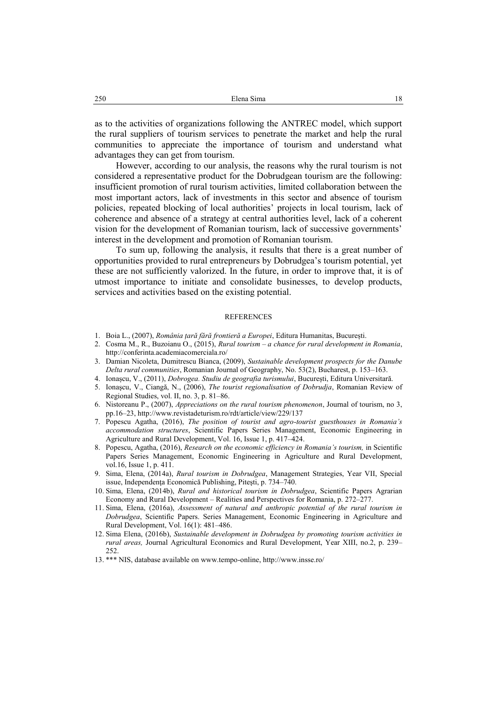as to the activities of organizations following the ANTREC model, which support the rural suppliers of tourism services to penetrate the market and help the rural communities to appreciate the importance of tourism and understand what advantages they can get from tourism.

However, according to our analysis, the reasons why the rural tourism is not considered a representative product for the Dobrudgean tourism are the following: insufficient promotion of rural tourism activities, limited collaboration between the most important actors, lack of investments in this sector and absence of tourism policies, repeated blocking of local authorities' projects in local tourism, lack of coherence and absence of a strategy at central authorities level, lack of a coherent vision for the development of Romanian tourism, lack of successive governments' interest in the development and promotion of Romanian tourism.

To sum up, following the analysis, it results that there is a great number of opportunities provided to rural entrepreneurs by Dobrudgea's tourism potential, yet these are not sufficiently valorized. In the future, in order to improve that, it is of utmost importance to initiate and consolidate businesses, to develop products, services and activities based on the existing potential.

#### REFERENCES

- 1. Boia L., (2007), *România țară fără frontieră a Europei*, Editura Humanitas, București.
- 2. Cosma M., R., Buzoianu O., (2015), *Rural tourism – a chance for rural development in Romania*, [http://conferinta.academiacomerciala.ro/](http://conferinta.academiacomerciala.ro/CD2015/ARTICOLE/3/RURAL%20TOURISM%20%20IN%20ROMANIACosmaBuzoianu.pdf)
- 3. Damian Nicoleta, Dumitrescu Bianca, (2009), *Sustainable development prospects for the Danube Delta rural communities*, Romanian Journal of Geography, No. 53(2), Bucharest, p. 153–163.
- 4. Ionașcu, V., (2011), *Dobrogea. Studiu de geografia turismului*, București, Editura Universitară.
- 5. Ionaşcu, V., Ciangă, N., (2006), *The tourist regionalisation of Dobrudja*, Romanian Review of Regional Studies, vol. II, no. 3, p. 81–86.
- 6. Nistoreanu P., (2007), *Appreciations on the rural tourism phenomenon*, Journal of tourism, no 3, pp.16–23, http://www.revistadeturism.ro/rdt/article/view/229/137
- 7. Popescu Agatha, (2016), *The position of tourist and agro-tourist guesthouses in Romania's accommodation structures*, Scientific Papers Series Management, Economic Engineering in Agriculture and Rural Development, Vol. 16, Issue 1, p. 417–424.
- 8. Popescu, Agatha, (2016), *Research on the economic efficiency in Romania's tourism,* in Scientific Papers Series Management, Economic Engineering in Agriculture and Rural Development, vol.16, Issue 1, p. 411.
- 9. Sima, Elena, (2014a), *Rural tourism in Dobrudgea*, Management Strategies, Year VII, Special issue, Independenţa Economică Publishing, Piteşti, p. 734–740.
- 10. Sima, Elena, (2014b), *Rural and historical tourism in Dobrudgea*, Scientific Papers Agrarian Economy and Rural Development – Realities and Perspectives for Romania, p. 272–277.
- 11. Sima, Elena, (2016a), *Assessment of natural and anthropic potential of the rural tourism in Dobrudgea*, Scientific Papers. Series Management, Economic Engineering in Agriculture and Rural Development, Vol. 16(1): 481–486.
- 12. Sima Elena, (2016b), *Sustainable development in Dobrudgea by promoting tourism activities in rural areas,* Journal Agricultural Economics and Rural Development, Year XIII, no.2, p. 239– 252.
- 13. \*\*\* NIS, database available on www.tempo-online, http://www.insse.ro/